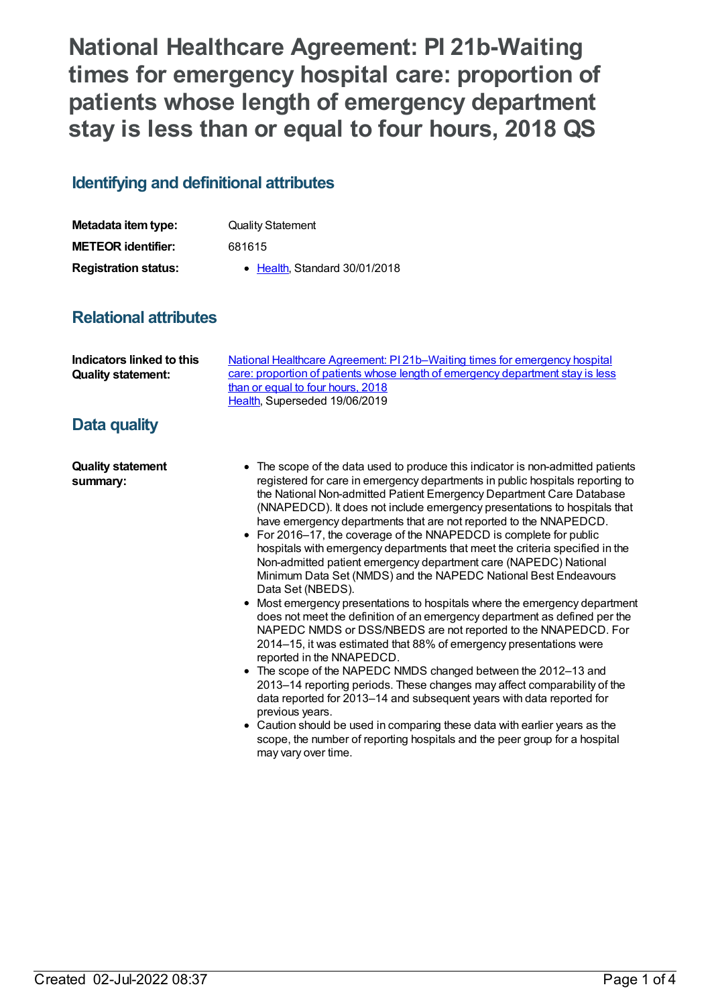**National Healthcare Agreement: PI 21b-Waiting times for emergency hospital care: proportion of patients whose length of emergency department stay is less than or equal to four hours, 2018 QS**

## **Identifying and definitional attributes**

| Metadata item type:         | <b>Quality Statement</b>      |
|-----------------------------|-------------------------------|
| <b>METEOR identifier:</b>   | 681615                        |
| <b>Registration status:</b> | • Health, Standard 30/01/2018 |

## **Relational attributes**

## **Data quality**

**Quality statement summary:**

- The scope of the data used to produce this indicator is non-admitted patients registered for care in emergency departments in public hospitals reporting to the National Non-admitted Patient Emergency Department Care Database (NNAPEDCD). It does not include emergency presentations to hospitals that have emergency departments that are not reported to the NNAPEDCD.
- For 2016–17, the coverage of the NNAPEDCD is complete for public hospitals with emergency departments that meet the criteria specified in the Non-admitted patient emergency department care (NAPEDC) National Minimum Data Set (NMDS) and the NAPEDC National Best Endeavours Data Set (NBEDS).
- Most emergency presentations to hospitals where the emergency department does not meet the definition of an emergency department as defined per the NAPEDC NMDS or DSS/NBEDS are not reported to the NNAPEDCD. For 2014–15, it was estimated that 88% of emergency presentations were reported in the NNAPEDCD.
- The scope of the NAPEDC NMDS changed between the 2012–13 and 2013–14 reporting periods. These changes may affect comparability of the data reported for 2013–14 and subsequent years with data reported for previous years.
- Caution should be used in comparing these data with earlier years as the scope, the number of reporting hospitals and the peer group for a hospital may vary over time.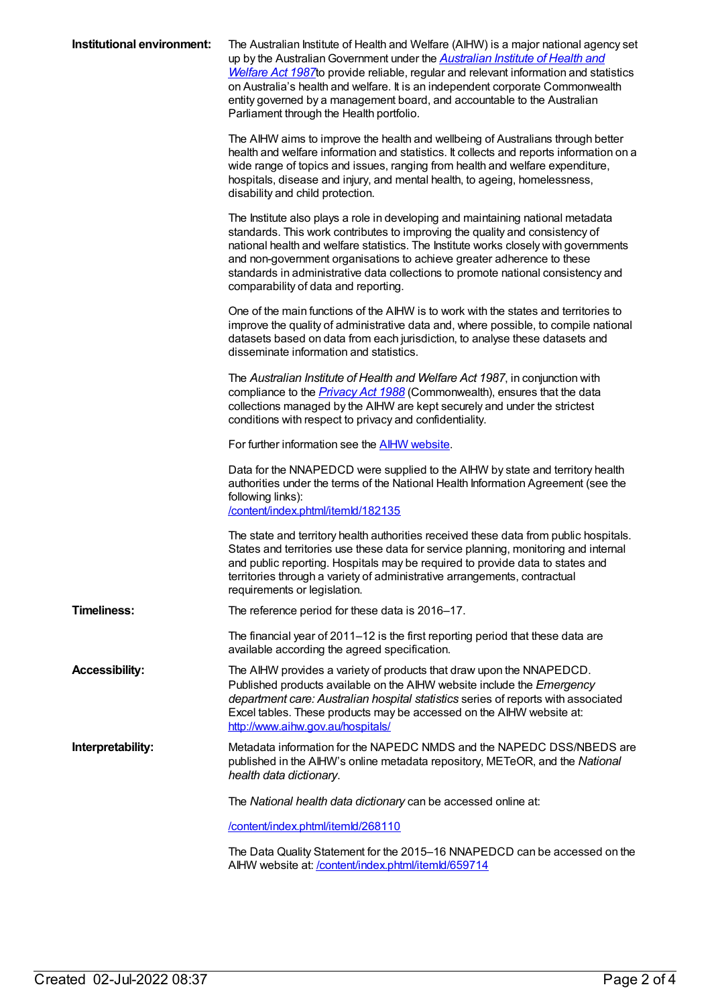| Institutional environment: | The Australian Institute of Health and Welfare (AIHW) is a major national agency set<br>up by the Australian Government under the <b>Australian Institute of Health and</b><br>Welfare Act 1987 to provide reliable, regular and relevant information and statistics<br>on Australia's health and welfare. It is an independent corporate Commonwealth<br>entity governed by a management board, and accountable to the Australian<br>Parliament through the Health portfolio. |
|----------------------------|--------------------------------------------------------------------------------------------------------------------------------------------------------------------------------------------------------------------------------------------------------------------------------------------------------------------------------------------------------------------------------------------------------------------------------------------------------------------------------|
|                            | The AIHW aims to improve the health and wellbeing of Australians through better<br>health and welfare information and statistics. It collects and reports information on a<br>wide range of topics and issues, ranging from health and welfare expenditure,<br>hospitals, disease and injury, and mental health, to ageing, homelessness,<br>disability and child protection.                                                                                                  |
|                            | The Institute also plays a role in developing and maintaining national metadata<br>standards. This work contributes to improving the quality and consistency of<br>national health and welfare statistics. The Institute works closely with governments<br>and non-government organisations to achieve greater adherence to these<br>standards in administrative data collections to promote national consistency and<br>comparability of data and reporting.                  |
|                            | One of the main functions of the AIHW is to work with the states and territories to<br>improve the quality of administrative data and, where possible, to compile national<br>datasets based on data from each jurisdiction, to analyse these datasets and<br>disseminate information and statistics.                                                                                                                                                                          |
|                            | The Australian Institute of Health and Welfare Act 1987, in conjunction with<br>compliance to the <i>Privacy Act 1988</i> (Commonwealth), ensures that the data<br>collections managed by the AIHW are kept securely and under the strictest<br>conditions with respect to privacy and confidentiality.                                                                                                                                                                        |
|                            | For further information see the <b>AIHW</b> website.                                                                                                                                                                                                                                                                                                                                                                                                                           |
|                            | Data for the NNAPEDCD were supplied to the AIHW by state and territory health<br>authorities under the terms of the National Health Information Agreement (see the<br>following links):<br>/content/index.phtml/itemld/182135                                                                                                                                                                                                                                                  |
|                            | The state and territory health authorities received these data from public hospitals.<br>States and territories use these data for service planning, monitoring and internal<br>and public reporting. Hospitals may be required to provide data to states and<br>territories through a variety of administrative arrangements, contractual<br>requirements or legislation.                                                                                                     |
| Timeliness:                | The reference period for these data is 2016-17.                                                                                                                                                                                                                                                                                                                                                                                                                                |
|                            | The financial year of 2011–12 is the first reporting period that these data are<br>available according the agreed specification.                                                                                                                                                                                                                                                                                                                                               |
| <b>Accessibility:</b>      | The AIHW provides a variety of products that draw upon the NNAPEDCD.<br>Published products available on the AIHW website include the Emergency<br>department care: Australian hospital statistics series of reports with associated<br>Excel tables. These products may be accessed on the AIHW website at:<br>http://www.aihw.gov.au/hospitals/                                                                                                                               |
| Interpretability:          | Metadata information for the NAPEDC NMDS and the NAPEDC DSS/NBEDS are<br>published in the AIHW's online metadata repository, METeOR, and the National<br>health data dictionary.                                                                                                                                                                                                                                                                                               |
|                            | The National health data dictionary can be accessed online at:                                                                                                                                                                                                                                                                                                                                                                                                                 |
|                            | /content/index.phtml/itemld/268110                                                                                                                                                                                                                                                                                                                                                                                                                                             |
|                            | The Data Quality Statement for the 2015–16 NNAPEDCD can be accessed on the<br>AIHW website at: /content/index.phtml/itemld/659714                                                                                                                                                                                                                                                                                                                                              |